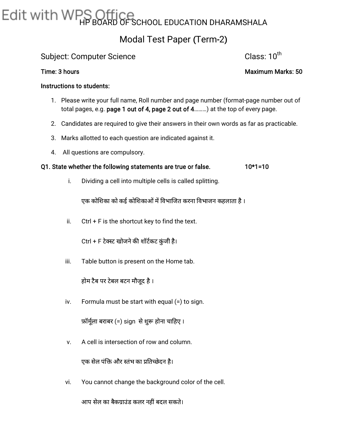# Edit with WPS Office<br>GESCHOOL EDUCATION DHARAMSHALA

### Modal Test Paper (Term-2)

#### Subject: Computer Science Class: 10<sup>th</sup>

#### Instructions to students:

- 1. Please write your full name, Roll number and page number (format-page number out of total pages, e.g. page 1 out of 4, page 2 out of 4………) at the top of every page.
- 2. Candidates are required to give their answers in their own words as far as practicable.
- 3. Marks allotted to each question are indicated against it.
- 4. All questions are compulsory.

#### Q1. State whether the following statements are true or false. 10\*1=10

i. Dividing a cell into multiple cells is called splitting.

एक कोशिका को कई कोशिकाओं में विभाजित करना विभाजन कहलाता है ।

ii. Ctrl + F is the shortcut key to find the text.<br>Ctrl + F टेक्स्ट खोजने की शॉर्टकट कुंजी है।

iii. Table button is present on the Home tab.

होम टैब पर टेबल बटन मौजूद है।

iv. Formula must be start with equal (=) to sign.

फ़ॉर्मूला बराबर (=) sign से शुरू होना चाहिए ।

v. A cell is intersection of row and column.

एक सेल पंक्ति और स्तंभ का प्रतिच्छेदन है।

vi. You cannot change the background color of the cell.

आप सेल का बैकग्राउंड कलर नहीं बदल सकते।

th

Time: 3 hours Maximum Marks: 50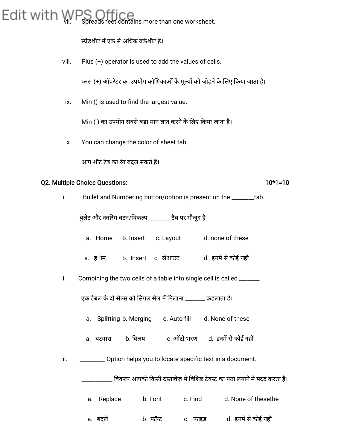## Edit with WPS Office more than one worksheet.

स्प्रेडशीट में एक से अधिक वर्कशीट हैं।

viii. Plus (+) operator is used to add the values of cells.

प्लस (+) ऑपरेटर का उपयोग कोशिकाओं के मूल्यों को जोड़ने के लिए किया जाता है।

ix. Min () is used to find the largest value.

Min ( ) का उपयोग सबसे बड़ा मान ज्ञात करने के लिए किया जाता है।

x. You can change the color of sheet tab.

आप शीट टैब का रंग बदल सकतेह।

#### Q2. Multiple Choice Questions: 10\*1=10

i. Bullet and Numbering button/option is present on the \_\_\_\_\_\_\_tab.

बुलेट और नंबरिंग बटन/विकल्प \_\_\_\_\_\_\_\_टैब पर मौजूद है।

- a. Home b. Insert c. Layout d. none of these
- a. ह**ोम b. Insert c. लेआउट d. इनमें से कोई नहीं**
- ii. Combining the two cells of a table into single cell is called \_\_\_\_\_\_.

एक टेबल के दो सेल्स को सिंगल सेल में मिलाना \_\_\_\_\_\_\_ कहलाता है।

- a. Splitting b. Merging c. Auto fill d. None of these
- a. बंटवारा b. विलय c. ऑटो भरण d. इनमें से कोई नहीं
- iii. \_\_\_\_\_\_\_\_\_\_\_ Option helps you to locate specific text in a document.

विकल्प आपको किसी दस्तावेज़ में विशिष्ट टेक्स्ट का पता लगाने में मदद करता है।

- a. Replace b. Font c. Find d. None of thesethe
- a. बदलें b. फ़ॉन्ट c. फाइंड d. इनमें से कोई नहीं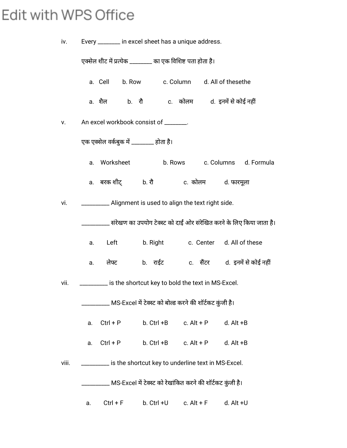### Edit with WPS Office

| iv.   |    | Every ________ in excel sheet has a unique address.         |                                                            |              |                                                                             |
|-------|----|-------------------------------------------------------------|------------------------------------------------------------|--------------|-----------------------------------------------------------------------------|
|       |    | एक्सेल शीट में प्रत्येक ________ का एक विशिष्ट पता होता है। |                                                            |              |                                                                             |
|       |    | a. Cell b. Row c. Column d. All of thesethe                 |                                                            |              |                                                                             |
|       |    |                                                             |                                                            |              |                                                                             |
| v.    |    | An excel workbook consist of _______.                       |                                                            |              |                                                                             |
|       |    | एक एक्सेल वर्कबुक में ________ होता है।                     |                                                            |              |                                                                             |
|       |    |                                                             |                                                            |              | a. Worksheet b. Rows c. Columns d. Formula                                  |
|       |    | a. बरकशीट् b.रौ   c. कोलम   d. फारमूला                      |                                                            |              |                                                                             |
| vi.   |    | __________ Alignment is used to align the text right side.  |                                                            |              |                                                                             |
|       |    |                                                             |                                                            |              | ______ संरेखण का उपयोग टेक्स्ट को दाईं ओर संरेखित करने के लिए किया जाता है। |
|       | a. |                                                             |                                                            |              | Left b. Right c. Center d. All of these                                     |
|       | a. | लेफ्ट                                                       |                                                            |              | b. राईट c. सैंटर d. इनमें से कोई नहीं                                       |
| vii.  |    | _______ is the shortcut key to bold the text in MS-Excel.   |                                                            |              |                                                                             |
|       |    |                                                             | MS-Excel में टेक्स्ट को बोल्ड करने की शॉर्टकट कुंजी है।    |              |                                                                             |
|       | a. | $Ctrl + P$                                                  | b. Ctrl +B                                                 | c. $Alt + P$ | $d.$ Alt $+B$                                                               |
|       | a. | $Ctrl + P$                                                  | b. Ctrl +B                                                 | c. $Alt + P$ | $d.$ Alt $+B$                                                               |
| viii. |    |                                                             | is the shortcut key to underline text in MS-Excel.         |              |                                                                             |
|       |    |                                                             | MS-Excel में टेक्स्ट को रेखांकित करने की शॉर्टकट कुंजी है। |              |                                                                             |
|       | a. | $Ctrl + F$                                                  | b. Ctrl +U                                                 | c. $Alt + F$ | d. Alt +U                                                                   |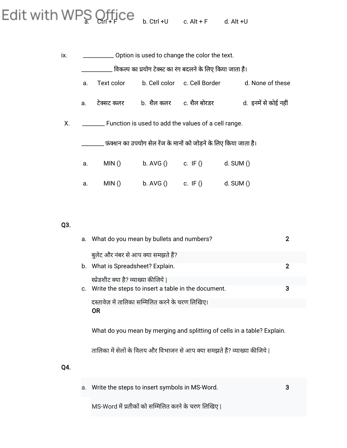## $E$ dit with WPS  $Q_{\text{trl}}$ +Fice  $E_{\text{drl}}$  +U c. Alt +F d. Alt +U

| ix. | Option is used to change the color the text. |            |                                                                   |                              |                       |
|-----|----------------------------------------------|------------|-------------------------------------------------------------------|------------------------------|-----------------------|
|     |                                              |            | विकल्प का प्रयोग टेक्स्ट का रंग बदलने के लिए किया जाता है।        |                              |                       |
|     | a.                                           | Text color |                                                                   | b. Cell color c. Cell Border | d. None of these      |
|     | a.                                           | टेक्सट कलर | b. शैल कलर                                                        | c. शैल बोरडर                 | d.  इनमें से कोई नहीं |
| Χ.  |                                              |            | ________ Function is used to add the values of a cell range.      |                              |                       |
|     |                                              |            | फ़ंक्शन का उपयोग सेल रेंज के मानों को जोड़ने के लिए किया जाता है। |                              |                       |
|     | a.                                           | MIN()      | $b.$ AVG $()$                                                     | c. IF ()                     | d. $SUM()$            |
|     | a.                                           | MIN()      | $b.$ AVG $()$                                                     | c. IF $()$                   | d. $SUM()$            |

#### Q3.

Q4.

|    | a. What do you mean by bullets and numbers?                              | 2 |
|----|--------------------------------------------------------------------------|---|
|    | बुलेट और नंबर से आप क्या समझते हैं?                                      |   |
|    | b. What is Spreadsheet? Explain.                                         | 2 |
|    | स्प्रेडशीट क्या है? व्याख्या कीजिये                                      |   |
| C. | Write the steps to insert a table in the document.                       | 3 |
|    | 'दस्तावेज़ में तालिका सम्मिलित करने के चरण लिखिए।                        |   |
|    | <b>OR</b>                                                                |   |
|    | What do you mean by merging and splitting of cells in a table? Explain.  |   |
|    | तालिका में सेलों के विलय और विभाजन से आप क्या समझते हैं? व्याख्या कीजिये |   |
|    |                                                                          |   |
|    |                                                                          |   |

| a. Write the steps to insert symbols in MS-Word.   |  |
|----------------------------------------------------|--|
| MS-Word में प्रतीकों को सम्मिलित करने के चरण लिखिए |  |